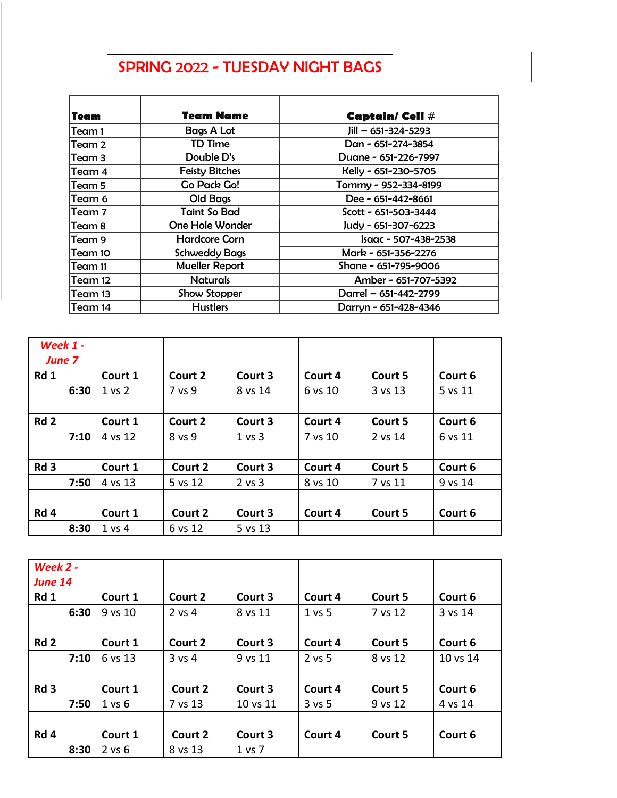## SPRING 2022 - TUESDAY NIGHT BAGS

| Team    | <b>Team Name</b>      | Captain/ Cell #           |
|---------|-----------------------|---------------------------|
| Team 1  | <b>Bags A Lot</b>     | $Jill - 651 - 324 - 5293$ |
| Team 2  | <b>TD Time</b>        | Dan - 651-274-3854        |
| Team 3  | Double D's            | Duane - 651-226-7997      |
| Team 4  | <b>Feisty Bitches</b> | Kelly - 651-230-5705      |
| Team 5  | Go Pack Go!           | Tommy - 952-334-8199      |
| Team 6  | Old Bags              | Dee - 651-442-8661        |
| Team 7  | <b>Taint So Bad</b>   | Scott - 651-503-3444      |
| Team 8  | One Hole Wonder       | Judy - 651-307-6223       |
| Team 9  | <b>Hardcore Corn</b>  | Isaac - 507-438-2538      |
| Team 10 | <b>Schweddy Bags</b>  | Mark - 651-356-2276       |
| Team 11 | <b>Mueller Report</b> | Shane - 651-795-9006      |
| Team 12 | <b>Naturals</b>       | Amber - 651-707-5392      |
| Team 13 | Show Stopper          | Darrel - 651-442-2799     |
| Team 14 | <b>Hustlers</b>       | Darryn - 651-428-4346     |

| Week $1 -$<br><b>June 7</b> |            |         |            |         |         |         |
|-----------------------------|------------|---------|------------|---------|---------|---------|
| Rd 1                        | Court 1    | Court 2 | Court 3    | Court 4 | Court 5 | Court 6 |
| 6:30                        | $1$ vs $2$ | 7 vs 9  | 8 vs 14    | 6 vs 10 | 3 vs 13 | 5 vs 11 |
|                             |            |         |            |         |         |         |
| Rd <sub>2</sub>             | Court 1    | Court 2 | Court 3    | Court 4 | Court 5 | Court 6 |
| 7:10                        | 4 vs 12    | 8 vs 9  | 1 vs 3     | 7 vs 10 | 2 vs 14 | 6 vs 11 |
|                             |            |         |            |         |         |         |
| Rd <sub>3</sub>             | Court 1    | Court 2 | Court 3    | Court 4 | Court 5 | Court 6 |
| 7:50                        | 4 vs 13    | 5 vs 12 | $2$ vs $3$ | 8 vs 10 | 7 vs 11 | 9 vs 14 |
|                             |            |         |            |         |         |         |
| Rd 4                        | Court 1    | Court 2 | Court 3    | Court 4 | Court 5 | Court 6 |
| 8:30                        | 1 vs 4     | 6 vs 12 | 5 vs 13    |         |         |         |

| Week 2 -<br><b>June 14</b> |            |          |          |          |         |          |
|----------------------------|------------|----------|----------|----------|---------|----------|
| Rd 1                       | Court 1    | Court 2  | Court 3  | Court 4  | Court 5 | Court 6  |
| 6:30                       | 9 vs 10    | 2 vs 4   | 8 vs 11  | 1 vs 5   | 7 vs 12 | 3 vs 14  |
|                            |            |          |          |          |         |          |
| Rd <sub>2</sub>            | Court 1    | Court 2  | Court 3  | Court 4  | Court 5 | Court 6  |
| 7:10                       | 6 vs 13    | $3$ vs 4 | 9 vs 11  | $2$ vs 5 | 8 vs 12 | 10 vs 14 |
|                            |            |          |          |          |         |          |
| Rd <sub>3</sub>            | Court 1    | Court 2  | Court 3  | Court 4  | Court 5 | Court 6  |
| 7:50                       | 1 vs 6     | 7 vs 13  | 10 vs 11 | $3$ vs 5 | 9 vs 12 | 4 vs 14  |
|                            |            |          |          |          |         |          |
| Rd <sub>4</sub>            | Court 1    | Court 2  | Court 3  | Court 4  | Court 5 | Court 6  |
| 8:30                       | $2$ vs $6$ | 8 vs 13  | 1 vs 7   |          |         |          |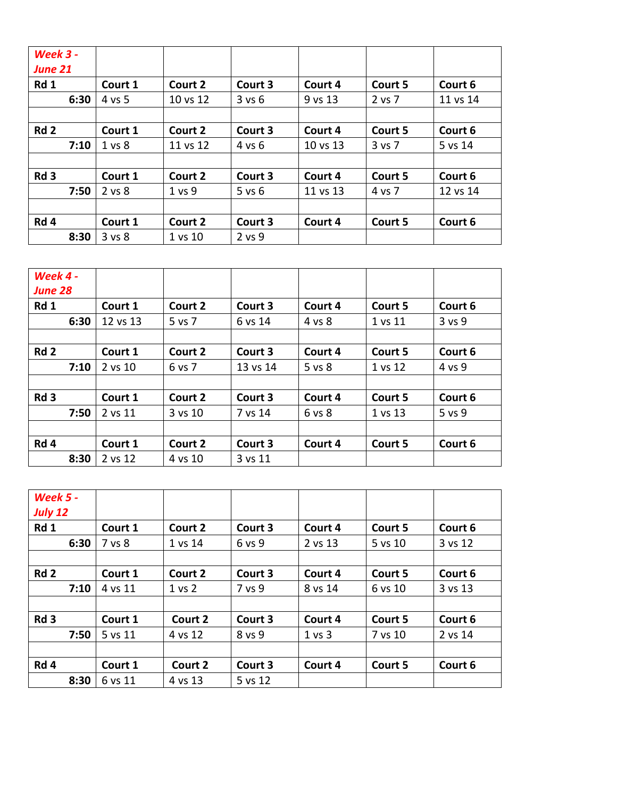| <b>Week 3 -</b><br><b>June 21</b> |                   |          |            |          |         |          |
|-----------------------------------|-------------------|----------|------------|----------|---------|----------|
| Rd 1                              | Court 1           | Court 2  | Court 3    | Court 4  | Court 5 | Court 6  |
| 6:30                              | 4 vs 5            | 10 vs 12 | 3 v s 6    | 9 vs 13  | 2 vs 7  | 11 vs 14 |
|                                   |                   |          |            |          |         |          |
| Rd <sub>2</sub>                   | Court 1           | Court 2  | Court 3    | Court 4  | Court 5 | Court 6  |
| 7:10                              | 1 <sub>vs</sub> 8 | 11 vs 12 | 4 vs 6     | 10 vs 13 | 3 vs 7  | 5 vs 14  |
|                                   |                   |          |            |          |         |          |
| Rd <sub>3</sub>                   | Court 1           | Court 2  | Court 3    | Court 4  | Court 5 | Court 6  |
| 7:50                              | 2 vs 8            | 1 vs 9   | $5$ vs $6$ | 11 vs 13 | 4 vs 7  | 12 vs 14 |
|                                   |                   |          |            |          |         |          |
| Rd 4                              | Court 1           | Court 2  | Court 3    | Court 4  | Court 5 | Court 6  |
| 8:30                              | 3 vs 8            | 1 vs 10  | 2 vs 9     |          |         |          |

| Week 4 -<br><b>June 28</b> |          |         |          |         |         |         |
|----------------------------|----------|---------|----------|---------|---------|---------|
| Rd 1                       | Court 1  | Court 2 | Court 3  | Court 4 | Court 5 | Court 6 |
| 6:30                       | 12 vs 13 | 5 vs 7  | 6 vs 14  | 4 vs 8  | 1 vs 11 | 3 vs 9  |
|                            |          |         |          |         |         |         |
| Rd <sub>2</sub>            | Court 1  | Court 2 | Court 3  | Court 4 | Court 5 | Court 6 |
| 7:10                       | 2 vs 10  | 6 vs 7  | 13 vs 14 | 5 vs 8  | 1 vs 12 | 4 vs 9  |
|                            |          |         |          |         |         |         |
| Rd <sub>3</sub>            | Court 1  | Court 2 | Court 3  | Court 4 | Court 5 | Court 6 |
| 7:50                       | 2 vs 11  | 3 vs 10 | 7 vs 14  | 6 vs 8  | 1 vs 13 | 5 vs 9  |
|                            |          |         |          |         |         |         |
| Rd 4                       | Court 1  | Court 2 | Court 3  | Court 4 | Court 5 | Court 6 |
| 8:30                       | 2 vs 12  | 4 vs 10 | 3 vs 11  |         |         |         |

| <b>Week 5 -</b><br><b>July 12</b> |         |         |         |         |         |         |
|-----------------------------------|---------|---------|---------|---------|---------|---------|
| Rd 1                              | Court 1 | Court 2 | Court 3 | Court 4 | Court 5 | Court 6 |
| 6:30                              | 7 vs 8  | 1 vs 14 | 6 vs 9  | 2 vs 13 | 5 vs 10 | 3 vs 12 |
|                                   |         |         |         |         |         |         |
| Rd <sub>2</sub>                   | Court 1 | Court 2 | Court 3 | Court 4 | Court 5 | Court 6 |
| 7:10                              | 4 vs 11 | 1 vs 2  | 7 vs 9  | 8 vs 14 | 6 vs 10 | 3 vs 13 |
|                                   |         |         |         |         |         |         |
| Rd <sub>3</sub>                   | Court 1 | Court 2 | Court 3 | Court 4 | Court 5 | Court 6 |
| 7:50                              | 5 vs 11 | 4 vs 12 | 8 vs 9  | 1 vs 3  | 7 vs 10 | 2 vs 14 |
|                                   |         |         |         |         |         |         |
| Rd 4                              | Court 1 | Court 2 | Court 3 | Court 4 | Court 5 | Court 6 |
| 8:30                              | 6 vs 11 | 4 vs 13 | 5 vs 12 |         |         |         |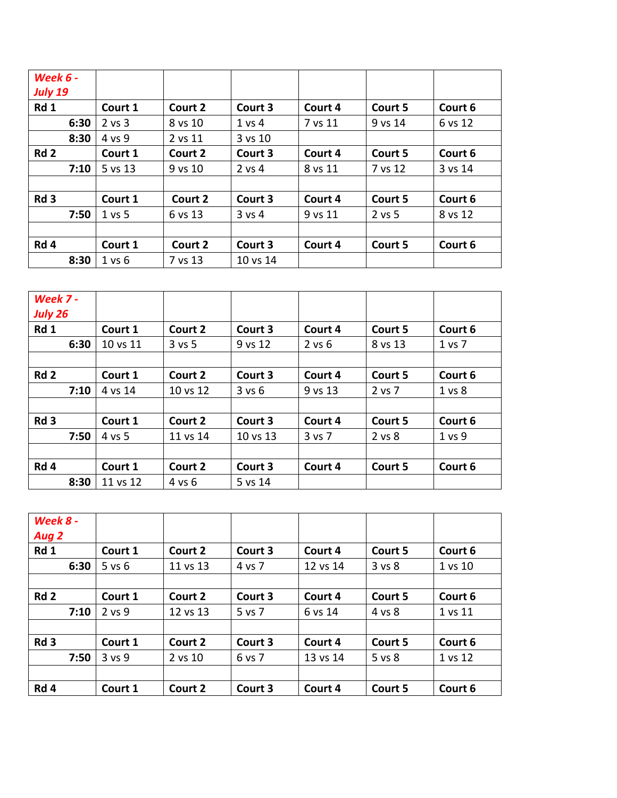| <b>Week 6 -</b><br><b>July 19</b> |            |         |            |         |         |         |
|-----------------------------------|------------|---------|------------|---------|---------|---------|
| Rd 1                              | Court 1    | Court 2 | Court 3    | Court 4 | Court 5 | Court 6 |
| 6:30                              | $2$ vs $3$ | 8 vs 10 | 1 vs 4     | 7 vs 11 | 9 vs 14 | 6 vs 12 |
| 8:30                              | 4 vs 9     | 2 vs 11 | 3 vs 10    |         |         |         |
| Rd <sub>2</sub>                   | Court 1    | Court 2 | Court 3    | Court 4 | Court 5 | Court 6 |
| 7:10                              | 5 vs 13    | 9 vs 10 | $2$ vs 4   | 8 vs 11 | 7 vs 12 | 3 vs 14 |
|                                   |            |         |            |         |         |         |
| Rd <sub>3</sub>                   | Court 1    | Court 2 | Court 3    | Court 4 | Court 5 | Court 6 |
| 7:50                              | 1 vs 5     | 6 vs 13 | $3$ vs $4$ | 9 vs 11 | 2 vs 5  | 8 vs 12 |
|                                   |            |         |            |         |         |         |
| Rd 4                              | Court 1    | Court 2 | Court 3    | Court 4 | Court 5 | Court 6 |
| 8:30                              | $1$ vs $6$ | 7 vs 13 | 10 vs 14   |         |         |         |

| Week 7 -<br><b>July 26</b> |          |            |          |            |         |            |
|----------------------------|----------|------------|----------|------------|---------|------------|
| Rd 1                       | Court 1  | Court 2    | Court 3  | Court 4    | Court 5 | Court 6    |
| 6:30                       | 10 vs 11 | $3$ vs $5$ | 9 vs 12  | $2$ vs $6$ | 8 vs 13 | $1$ vs $7$ |
|                            |          |            |          |            |         |            |
| Rd <sub>2</sub>            | Court 1  | Court 2    | Court 3  | Court 4    | Court 5 | Court 6    |
| 7:10                       | 4 vs 14  | 10 vs 12   | 3 v s 6  | 9 vs 13    | 2 vs 7  | 1 vs 8     |
|                            |          |            |          |            |         |            |
| Rd <sub>3</sub>            | Court 1  | Court 2    | Court 3  | Court 4    | Court 5 | Court 6    |
| 7:50                       | 4 vs 5   | 11 vs 14   | 10 vs 13 | 3 vs 7     | 2 vs 8  | 1 vs 9     |
|                            |          |            |          |            |         |            |
| Rd 4                       | Court 1  | Court 2    | Court 3  | Court 4    | Court 5 | Court 6    |
| 8:30                       | 11 vs 12 | 4 vs 6     | 5 vs 14  |            |         |            |

| Week 8 -        |            |          |         |          |         |         |
|-----------------|------------|----------|---------|----------|---------|---------|
| Aug 2           |            |          |         |          |         |         |
| Rd 1            | Court 1    | Court 2  | Court 3 | Court 4  | Court 5 | Court 6 |
| 6:30            | $5$ vs $6$ | 11 vs 13 | 4 vs 7  | 12 vs 14 | 3 vs 8  | 1 vs 10 |
|                 |            |          |         |          |         |         |
| Rd <sub>2</sub> | Court 1    | Court 2  | Court 3 | Court 4  | Court 5 | Court 6 |
| 7:10            | $2$ vs $9$ | 12 vs 13 | 5 vs 7  | 6 vs 14  | 4 vs 8  | 1 vs 11 |
|                 |            |          |         |          |         |         |
| Rd <sub>3</sub> | Court 1    | Court 2  | Court 3 | Court 4  | Court 5 | Court 6 |
| 7:50            | 3 vs 9     | 2 vs 10  | 6 vs 7  | 13 vs 14 | 5 vs 8  | 1 vs 12 |
|                 |            |          |         |          |         |         |
| Rd 4            | Court 1    | Court 2  | Court 3 | Court 4  | Court 5 | Court 6 |